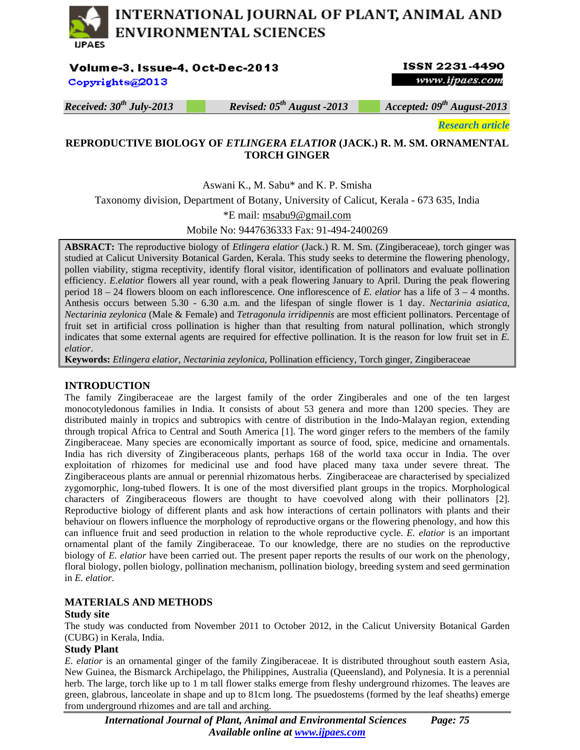# INTERNATIONAL JOURNAL OF PLANT, ANIMAL AND **ENVIRONMENTAL SCIENCES IJPAES**

Volume-3, Issue-4, Oct-Dec-2013

Copyrights@2013

## **ISSN 2231-4490** www.ijpaes.com

*Received: 30th July-2013 Revised: 05th August -2013 Accepted: 09th August-2013* 

*Research article* 

## **REPRODUCTIVE BIOLOGY OF** *ETLINGERA ELATIOR* **(JACK.) R. M. SM. ORNAMENTAL TORCH GINGER**

Aswani K., M. Sabu\* and K. P. Smisha

Taxonomy division, Department of Botany, University of Calicut, Kerala - 673 635, India

\*E mail: msabu9@gmail.com

Mobile No: 9447636333 Fax: 91-494-2400269

**ABSRACT:** The reproductive biology of *Etlingera elatior* (Jack.) R. M. Sm. (Zingiberaceae), torch ginger was studied at Calicut University Botanical Garden, Kerala. This study seeks to determine the flowering phenology, pollen viability, stigma receptivity, identify floral visitor, identification of pollinators and evaluate pollination efficiency. *E.elatior* flowers all year round, with a peak flowering January to April. During the peak flowering period 18 – 24 flowers bloom on each inflorescence. One inflorescence of *E. elatior* has a life of 3 – 4 months. Anthesis occurs between 5.30 - 6.30 a.m. and the lifespan of single flower is 1 day. *Nectarinia asiatica*, *Nectarinia zeylonica* (Male & Female) and *Tetragonula irridipennis* are most efficient pollinators. Percentage of fruit set in artificial cross pollination is higher than that resulting from natural pollination, which strongly indicates that some external agents are required for effective pollination. It is the reason for low fruit set in *E. elatior*.

**Keywords:** *Etlingera elatior*, *Nectarinia zeylonica*, Pollination efficiency, Torch ginger, Zingiberaceae

#### **INTRODUCTION**

The family Zingiberaceae are the largest family of the order Zingiberales and one of the ten largest monocotyledonous families in India. It consists of about 53 genera and more than 1200 species. They are distributed mainly in tropics and subtropics with centre of distribution in the Indo-Malayan region, extending through tropical Africa to Central and South America [1]. The word ginger refers to the members of the family Zingiberaceae. Many species are economically important as source of food, spice, medicine and ornamentals. India has rich diversity of Zingiberaceous plants, perhaps 168 of the world taxa occur in India. The over exploitation of rhizomes for medicinal use and food have placed many taxa under severe threat. The Zingiberaceous plants are annual or perennial rhizomatous herbs. Zingiberaceae are characterised by specialized zygomorphic, long-tubed flowers. It is one of the most diversified plant groups in the tropics. Morphological characters of Zingiberaceous flowers are thought to have coevolved along with their pollinators [2]. Reproductive biology of different plants and ask how interactions of certain pollinators with plants and their behaviour on flowers influence the morphology of reproductive organs or the flowering phenology, and how this can influence fruit and seed production in relation to the whole reproductive cycle. *E. elatior* is an important ornamental plant of the family Zingiberaceae. To our knowledge, there are no studies on the reproductive biology of *E. elatior* have been carried out. The present paper reports the results of our work on the phenology, floral biology, pollen biology, pollination mechanism, pollination biology, breeding system and seed germination in *E. elatior*.

## **MATERIALS AND METHODS**

#### **Study site**

The study was conducted from November 2011 to October 2012, in the Calicut University Botanical Garden (CUBG) in Kerala, India.

#### **Study Plant**

*E. elatior* is an ornamental ginger of the family Zingiberaceae. It is distributed throughout south eastern Asia, New Guinea, the Bismarck Archipelago, the Philippines, Australia (Queensland), and Polynesia. It is a perennial herb. The large, torch like up to 1 m tall flower stalks emerge from fleshy underground rhizomes. The leaves are green, glabrous, lanceolate in shape and up to 81cm long. The psuedostems (formed by the leaf sheaths) emerge from underground rhizomes and are tall and arching.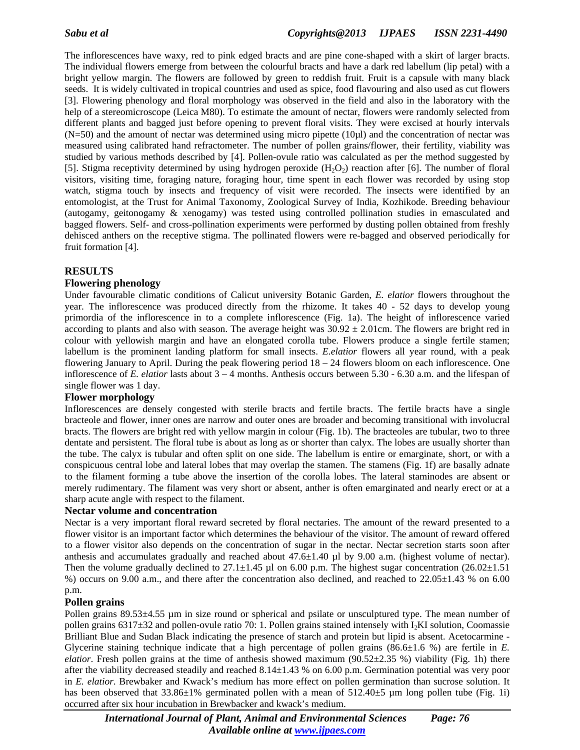The inflorescences have waxy, red to pink edged bracts and are pine cone-shaped with a skirt of larger bracts. The individual flowers emerge from between the colourful bracts and have a dark red labellum (lip petal) with a bright yellow margin. The flowers are followed by green to reddish fruit. Fruit is a capsule with many black seeds. It is widely cultivated in tropical countries and used as spice, food flavouring and also used as cut flowers [3]. Flowering phenology and floral morphology was observed in the field and also in the laboratory with the help of a stereomicroscope (Leica M80). To estimate the amount of nectar, flowers were randomly selected from different plants and bagged just before opening to prevent floral visits. They were excised at hourly intervals (N=50) and the amount of nectar was determined using micro pipette (10µl) and the concentration of nectar was measured using calibrated hand refractometer. The number of pollen grains/flower, their fertility, viability was studied by various methods described by [4]. Pollen-ovule ratio was calculated as per the method suggested by [5]. Stigma receptivity determined by using hydrogen peroxide  $(H_2O_2)$  reaction after [6]. The number of floral visitors, visiting time, foraging nature, foraging hour, time spent in each flower was recorded by using stop watch, stigma touch by insects and frequency of visit were recorded. The insects were identified by an entomologist, at the Trust for Animal Taxonomy, Zoological Survey of India, Kozhikode. Breeding behaviour (autogamy, geitonogamy & xenogamy) was tested using controlled pollination studies in emasculated and bagged flowers. Self- and cross-pollination experiments were performed by dusting pollen obtained from freshly dehisced anthers on the receptive stigma. The pollinated flowers were re-bagged and observed periodically for fruit formation [4].

## **RESULTS**

#### **Flowering phenology**

Under favourable climatic conditions of Calicut university Botanic Garden, *E. elatior* flowers throughout the year. The inflorescence was produced directly from the rhizome. It takes 40 - 52 days to develop young primordia of the inflorescence in to a complete inflorescence (Fig. 1a). The height of inflorescence varied according to plants and also with season. The average height was  $30.92 \pm 2.01$  cm. The flowers are bright red in colour with yellowish margin and have an elongated corolla tube. Flowers produce a single fertile stamen; labellum is the prominent landing platform for small insects. *E.elatior* flowers all year round, with a peak flowering January to April. During the peak flowering period 18 – 24 flowers bloom on each inflorescence. One inflorescence of *E. elatior* lasts about 3 – 4 months. Anthesis occurs between 5.30 - 6.30 a.m. and the lifespan of single flower was 1 day.

#### **Flower morphology**

Inflorescences are densely congested with sterile bracts and fertile bracts. The fertile bracts have a single bracteole and flower, inner ones are narrow and outer ones are broader and becoming transitional with involucral bracts. The flowers are bright red with yellow margin in colour (Fig. 1b). The bracteoles are tubular, two to three dentate and persistent. The floral tube is about as long as or shorter than calyx. The lobes are usually shorter than the tube. The calyx is tubular and often split on one side. The labellum is entire or emarginate, short, or with a conspicuous central lobe and lateral lobes that may overlap the stamen. The stamens (Fig. 1f) are basally adnate to the filament forming a tube above the insertion of the corolla lobes. The lateral staminodes are absent or merely rudimentary. The filament was very short or absent, anther is often emarginated and nearly erect or at a sharp acute angle with respect to the filament.

#### **Nectar volume and concentration**

Nectar is a very important floral reward secreted by floral nectaries. The amount of the reward presented to a flower visitor is an important factor which determines the behaviour of the visitor. The amount of reward offered to a flower visitor also depends on the concentration of sugar in the nectar. Nectar secretion starts soon after anthesis and accumulates gradually and reached about  $47.6\pm1.40$  µl by 9.00 a.m. (highest volume of nectar). Then the volume gradually declined to  $27.1\pm1.45$  µl on 6.00 p.m. The highest sugar concentration (26.02 $\pm1.51$ ) %) occurs on 9.00 a.m., and there after the concentration also declined, and reached to 22.05±1.43 % on 6.00 p.m.

#### **Pollen grains**

Pollen grains 89.53±4.55 µm in size round or spherical and psilate or unsculptured type. The mean number of pollen grains 6317±32 and pollen-ovule ratio 70: 1. Pollen grains stained intensely with I2KI solution, Coomassie Brilliant Blue and Sudan Black indicating the presence of starch and protein but lipid is absent. Acetocarmine - Glycerine staining technique indicate that a high percentage of pollen grains (86.6±1.6 %) are fertile in *E*. *elatior*. Fresh pollen grains at the time of anthesis showed maximum (90.52 $\pm$ 2.35 %) viability (Fig. 1h) there after the viability decreased steadily and reached 8.14±1.43 % on 6.00 p.m. Germination potential was very poor in *E. elatior*. Brewbaker and Kwack's medium has more effect on pollen germination than sucrose solution. It has been observed that  $33.86\pm1\%$  germinated pollen with a mean of  $512.40\pm5$  µm long pollen tube (Fig. 1i) occurred after six hour incubation in Brewbacker and kwack's medium.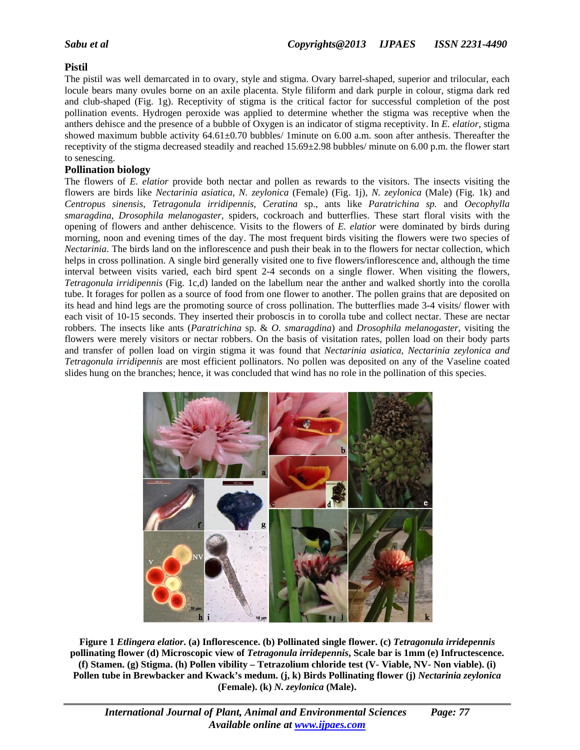## **Pistil**

The pistil was well demarcated in to ovary, style and stigma. Ovary barrel-shaped, superior and trilocular, each locule bears many ovules borne on an axile placenta. Style filiform and dark purple in colour, stigma dark red and club-shaped (Fig. 1g). Receptivity of stigma is the critical factor for successful completion of the post pollination events. Hydrogen peroxide was applied to determine whether the stigma was receptive when the anthers dehisce and the presence of a bubble of Oxygen is an indicator of stigma receptivity. In *E. elatior*, stigma showed maximum bubble activity 64.61±0.70 bubbles/ 1minute on 6.00 a.m. soon after anthesis. Thereafter the receptivity of the stigma decreased steadily and reached 15.69±2.98 bubbles/ minute on 6.00 p.m. the flower start to senescing.

## **Pollination biology**

The flowers of *E. elatior* provide both nectar and pollen as rewards to the visitors. The insects visiting the flowers are birds like *Nectarinia asiatica*, *N. zeylonica* (Female) (Fig. 1j)*, N. zeylonica* (Male) (Fig. 1k) and *Centropus sinensis*, *Tetragonula irridipennis*, *Ceratina* sp., ants like *Paratrichina sp.* and *Oecophylla smaragdina*, *Drosophila melanogaster*, spiders, cockroach and butterflies. These start floral visits with the opening of flowers and anther dehiscence. Visits to the flowers of *E. elatior* were dominated by birds during morning, noon and evening times of the day. The most frequent birds visiting the flowers were two species of *Nectarinia*. The birds land on the inflorescence and push their beak in to the flowers for nectar collection, which helps in cross pollination. A single bird generally visited one to five flowers/inflorescence and, although the time interval between visits varied, each bird spent 2-4 seconds on a single flower. When visiting the flowers, *Tetragonula irridipennis* (Fig. 1c,d) landed on the labellum near the anther and walked shortly into the corolla tube. It forages for pollen as a source of food from one flower to another. The pollen grains that are deposited on its head and hind legs are the promoting source of cross pollination. The butterflies made 3-4 visits/ flower with each visit of 10-15 seconds. They inserted their proboscis in to corolla tube and collect nectar. These are nectar robbers. The insects like ants (*Paratrichina* sp. & *O. smaragdina*) and *Drosophila melanogaster*, visiting the flowers were merely visitors or nectar robbers. On the basis of visitation rates, pollen load on their body parts and transfer of pollen load on virgin stigma it was found that *Nectarinia asiatica*, *Nectarinia zeylonica and Tetragonula irridipennis* are most efficient pollinators. No pollen was deposited on any of the Vaseline coated slides hung on the branches; hence, it was concluded that wind has no role in the pollination of this species.



**Figure 1** *Etlingera elatior***. (a) Inflorescence. (b) Pollinated single flower. (c)** *Tetragonula irridepennis* **pollinating flower (d) Microscopic view of** *Tetragonula irridepennis***, Scale bar is 1mm (e) Infructescence. (f) Stamen. (g) Stigma. (h) Pollen vibility – Tetrazolium chloride test (V- Viable, NV- Non viable). (i) Pollen tube in Brewbacker and Kwack's medum. (j, k) Birds Pollinating flower (j)** *Nectarinia zeylonica*  **(Female). (k)** *N. zeylonica* **(Male).**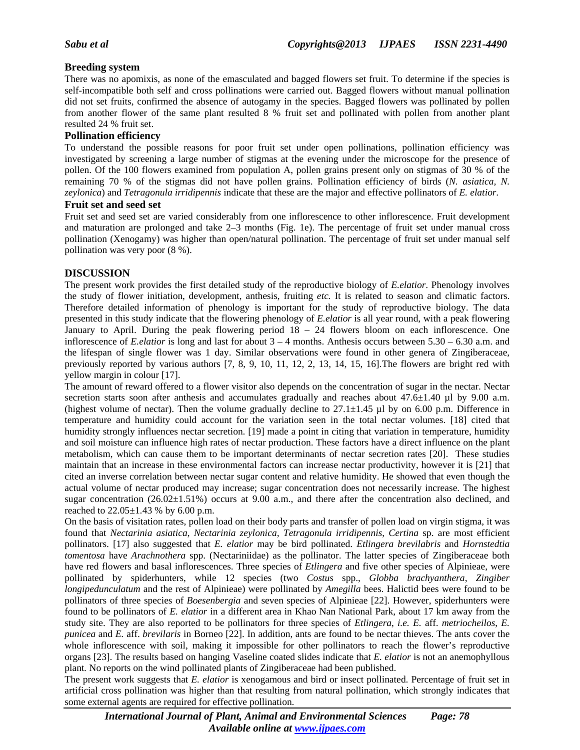## **Breeding system**

There was no apomixis, as none of the emasculated and bagged flowers set fruit. To determine if the species is self-incompatible both self and cross pollinations were carried out. Bagged flowers without manual pollination did not set fruits, confirmed the absence of autogamy in the species. Bagged flowers was pollinated by pollen from another flower of the same plant resulted 8 % fruit set and pollinated with pollen from another plant resulted 24 % fruit set.

### **Pollination efficiency**

To understand the possible reasons for poor fruit set under open pollinations, pollination efficiency was investigated by screening a large number of stigmas at the evening under the microscope for the presence of pollen. Of the 100 flowers examined from population A, pollen grains present only on stigmas of 30 % of the remaining 70 % of the stigmas did not have pollen grains. Pollination efficiency of birds (*N. asiatica, N. zeylonica*) and *Tetragonula irridipennis* indicate that these are the major and effective pollinators of *E. elatior*.

#### **Fruit set and seed set**

Fruit set and seed set are varied considerably from one inflorescence to other inflorescence. Fruit development and maturation are prolonged and take 2–3 months (Fig. 1e). The percentage of fruit set under manual cross pollination (Xenogamy) was higher than open/natural pollination. The percentage of fruit set under manual self pollination was very poor (8 %).

## **DISCUSSION**

The present work provides the first detailed study of the reproductive biology of *E.elatior*. Phenology involves the study of flower initiation, development, anthesis, fruiting *etc.* It is related to season and climatic factors. Therefore detailed information of phenology is important for the study of reproductive biology. The data presented in this study indicate that the flowering phenology of *E.elatior* is all year round, with a peak flowering January to April. During the peak flowering period  $18 - 24$  flowers bloom on each inflorescence. One inflorescence of *E.elatior* is long and last for about 3 – 4 months. Anthesis occurs between 5.30 – 6.30 a.m. and the lifespan of single flower was 1 day. Similar observations were found in other genera of Zingiberaceae, previously reported by various authors [7, 8, 9, 10, 11, 12, 2, 13, 14, 15, 16].The flowers are bright red with yellow margin in colour [17].

The amount of reward offered to a flower visitor also depends on the concentration of sugar in the nectar. Nectar secretion starts soon after anthesis and accumulates gradually and reaches about  $47.6 \pm 1.40$  ul by 9.00 a.m. (highest volume of nectar). Then the volume gradually decline to  $27.1 \pm 1.45$  µl by on 6.00 p.m. Difference in temperature and humidity could account for the variation seen in the total nectar volumes. [18] cited that humidity strongly influences nectar secretion. [19] made a point in citing that variation in temperature, humidity and soil moisture can influence high rates of nectar production. These factors have a direct influence on the plant metabolism, which can cause them to be important determinants of nectar secretion rates [20]. These studies maintain that an increase in these environmental factors can increase nectar productivity, however it is [21] that cited an inverse correlation between nectar sugar content and relative humidity. He showed that even though the actual volume of nectar produced may increase; sugar concentration does not necessarily increase. The highest sugar concentration (26.02 $\pm$ 1.51%) occurs at 9.00 a.m., and there after the concentration also declined, and reached to 22.05±1.43 % by 6.00 p.m.

On the basis of visitation rates, pollen load on their body parts and transfer of pollen load on virgin stigma, it was found that *Nectarinia asiatica*, *Nectarinia zeylonica, Tetragonula irridipennis*, *Certina* sp. are most efficient pollinators. [17] also suggested that *E. elatior* may be bird pollinated. *Etlingera brevilabris* and *Hornstedtia tomentosa* have *Arachnothera* spp. (Nectariniidae) as the pollinator. The latter species of Zingiberaceae both have red flowers and basal inflorescences. Three species of *Etlingera* and five other species of Alpinieae, were pollinated by spiderhunters, while 12 species (two *Costus* spp., *Globba brachyanthera*, *Zingiber longipedunculatum* and the rest of Alpinieae) were pollinated by *Amegilla* bees. Halictid bees were found to be pollinators of three species of *Boesenbergia* and seven species of Alpinieae [22]. However, spiderhunters were found to be pollinators of *E. elatior* in a different area in Khao Nan National Park, about 17 km away from the study site. They are also reported to be pollinators for three species of *Etlingera*, *i.e. E.* aff. *metriocheilos*, *E. punicea* and *E.* aff. *brevilaris* in Borneo [22]. In addition, ants are found to be nectar thieves. The ants cover the whole inflorescence with soil, making it impossible for other pollinators to reach the flower's reproductive organs [23]. The results based on hanging Vaseline coated slides indicate that *E. elatior* is not an anemophyllous plant*.* No reports on the wind pollinated plants of Zingiberaceae had been published.

The present work suggests that *E. elatior* is xenogamous and bird or insect pollinated. Percentage of fruit set in artificial cross pollination was higher than that resulting from natural pollination, which strongly indicates that some external agents are required for effective pollination.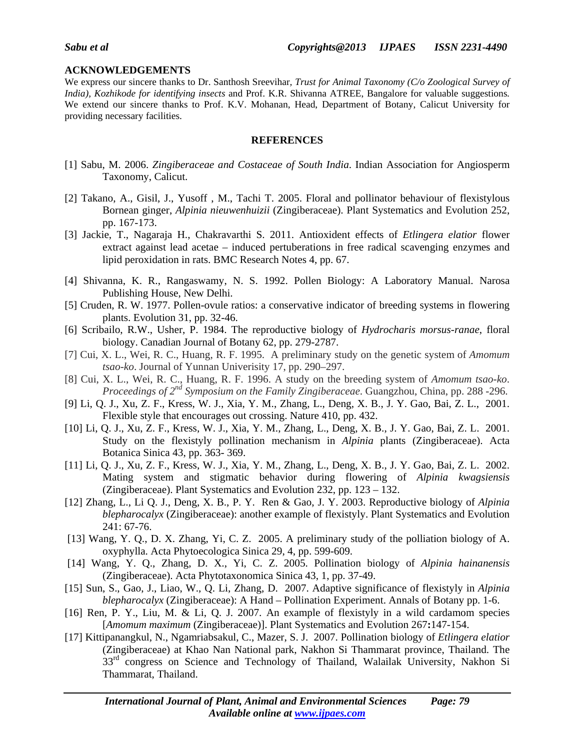## **ACKNOWLEDGEMENTS**

We express our sincere thanks to Dr. Santhosh Sreevihar*, Trust for Animal Taxonomy (C/o Zoological Survey of India), Kozhikode for identifying insects* and Prof. K.R. Shivanna ATREE, Bangalore for valuable suggestions*.* We extend our sincere thanks to Prof. K.V. Mohanan, Head, Department of Botany, Calicut University for providing necessary facilities.

## **REFERENCES**

- [1] Sabu, M. 2006. *Zingiberaceae and Costaceae of South India*. Indian Association for Angiosperm Taxonomy, Calicut.
- [2] Takano, A., Gisil, J., Yusoff , M., Tachi T. 2005. Floral and pollinator behaviour of flexistylous Bornean ginger, *Alpinia nieuwenhuizii* (Zingiberaceae). Plant Systematics and Evolution 252, pp. 167-173.
- [3] Jackie, T., Nagaraja H., Chakravarthi S. 2011. Antioxident effects of *Etlingera elatior* flower extract against lead acetae – induced pertuberations in free radical scavenging enzymes and lipid peroxidation in rats. BMC Research Notes 4, pp. 67.
- [4] Shivanna, K. R., Rangaswamy, N. S. 1992. Pollen Biology: A Laboratory Manual. Narosa Publishing House, New Delhi.
- [5] Cruden, R. W. 1977. Pollen-ovule ratios: a conservative indicator of breeding systems in flowering plants. Evolution 31, pp. 32-46.
- [6] Scribailo, R.W., Usher, P. 1984. The reproductive biology of *Hydrocharis morsus-ranae*, floral biology. Canadian Journal of Botany 62, pp. 279-2787.
- [7] Cui, X. L., Wei, R. C., Huang, R. F. 1995. A preliminary study on the genetic system of *Amomum tsao-ko*. Journal of Yunnan Univerisity 17, pp. 290–297.
- [8] Cui, X. L., Wei, R. C., Huang, R. F. 1996. A study on the breeding system of *Amomum tsao-ko*. *Proceedings of 2nd Symposium on the Family Zingiberaceae*. Guangzhou, China, pp. 288 -296.
- [9] Li, Q. J., Xu, Z. F., Kress, W. J., Xia, Y. M., Zhang, L., Deng, X. B., J. Y. Gao, Bai, Z. L., 2001. Flexible style that encourages out crossing. Nature 410, pp. 432.
- [10] Li, Q. J., Xu, Z. F., Kress, W. J., Xia, Y. M., Zhang, L., Deng, X. B., J. Y. Gao, Bai, Z. L. 2001. Study on the flexistyly pollination mechanism in *Alpinia* plants (Zingiberaceae). Acta Botanica Sinica 43, pp. 363- 369.
- [11] Li, Q. J., Xu, Z. F., Kress, W. J., Xia, Y. M., Zhang, L., Deng, X. B., J. Y. Gao, Bai, Z. L. 2002. Mating system and stigmatic behavior during flowering of *Alpinia kwagsiensis* (Zingiberaceae). Plant Systematics and Evolution 232, pp. 123 – 132.
- [12] Zhang, L., Li Q. J., Deng, X. B., P. Y. Ren & Gao, J. Y. 2003. Reproductive biology of *Alpinia blepharocalyx* (Zingiberaceae): another example of flexistyly. Plant Systematics and Evolution 241: 67-76.
- [13] Wang, Y. Q., D. X. Zhang, Yi, C. Z. 2005. A preliminary study of the polliation biology of A. oxyphylla. Acta Phytoecologica Sinica 29, 4, pp. 599-609.
- [14] Wang, Y. Q., Zhang, D. X., Yi, C. Z. 2005. Pollination biology of *Alpinia hainanensis* (Zingiberaceae). Acta Phytotaxonomica Sinica 43, 1, pp. 37-49.
- [15] Sun, S., Gao, J., Liao, W., Q. Li, Zhang, D. 2007. Adaptive significance of flexistyly in *Alpinia blepharocalyx* (Zingiberaceae): A Hand – Pollination Experiment. Annals of Botany pp. 1-6.
- [16] Ren, P. Y., Liu, M. & Li, Q. J. 2007. An example of flexistyly in a wild cardamom species [*Amomum maximum* (Zingiberaceae)]. Plant Systematics and Evolution 267**:**147-154.
- [17] Kittipanangkul, N., Ngamriabsakul, C., Mazer, S. J. 2007. Pollination biology of *Etlingera elatior* (Zingiberaceae) at Khao Nan National park, Nakhon Si Thammarat province, Thailand. The 33<sup>rd</sup> congress on Science and Technology of Thailand, Walailak University, Nakhon Si Thammarat, Thailand.